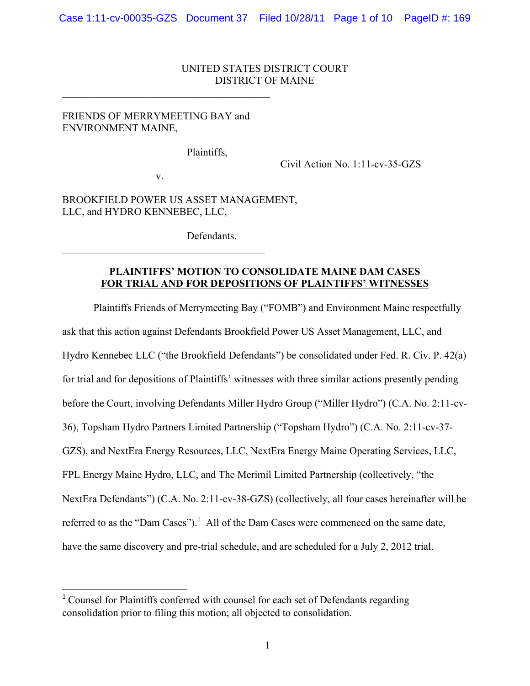#### UNITED STATES DISTRICT COURT DISTRICT OF MAINE

# FRIENDS OF MERRYMEETING BAY and ENVIRONMENT MAINE,

 $\mathcal{L}_\text{max}$  , and the contract of the contract of the contract of the contract of the contract of the contract of the contract of the contract of the contract of the contract of the contract of the contract of the contr

Plaintiffs,

Civil Action No. 1:11-cv-35-GZS

v.

 $\mathcal{L}_\text{max}$  and  $\mathcal{L}_\text{max}$  and  $\mathcal{L}_\text{max}$  and  $\mathcal{L}_\text{max}$ 

<u> 1989 - Johann Stein, markin film yn y breninn y breninn y breninn y breninn y breninn y breninn y breninn y b</u>

BROOKFIELD POWER US ASSET MANAGEMENT, LLC, and HYDRO KENNEBEC, LLC,

**Defendants** 

## **PLAINTIFFS' MOTION TO CONSOLIDATE MAINE DAM CASES FOR TRIAL AND FOR DEPOSITIONS OF PLAINTIFFS' WITNESSES**

Plaintiffs Friends of Merrymeeting Bay ("FOMB") and Environment Maine respectfully ask that this action against Defendants Brookfield Power US Asset Management, LLC, and Hydro Kennebec LLC ("the Brookfield Defendants") be consolidated under Fed. R. Civ. P. 42(a) for trial and for depositions of Plaintiffs' witnesses with three similar actions presently pending before the Court, involving Defendants Miller Hydro Group ("Miller Hydro") (C.A. No. 2:11-cv-36), Topsham Hydro Partners Limited Partnership ("Topsham Hydro") (C.A. No. 2:11-cv-37- GZS), and NextEra Energy Resources, LLC, NextEra Energy Maine Operating Services, LLC, FPL Energy Maine Hydro, LLC, and The Merimil Limited Partnership (collectively, "the NextEra Defendants") (C.A. No. 2:11-cv-38-GZS) (collectively, all four cases hereinafter will be referred to as the "Dam Cases").<sup>1</sup> All of the Dam Cases were commenced on the same date, have the same discovery and pre-trial schedule, and are scheduled for a July 2, 2012 trial.

<sup>&</sup>lt;sup>1</sup> Counsel for Plaintiffs conferred with counsel for each set of Defendants regarding consolidation prior to filing this motion; all objected to consolidation.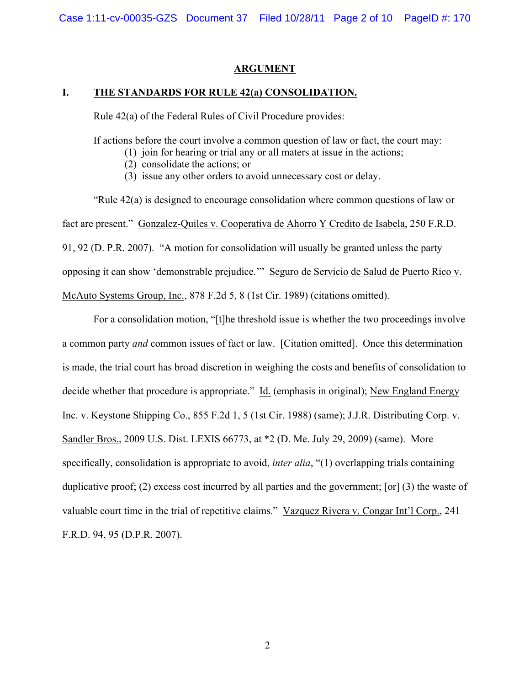# **ARGUMENT**

# **I. THE STANDARDS FOR RULE 42(a) CONSOLIDATION.**

Rule 42(a) of the Federal Rules of Civil Procedure provides:

If actions before the court involve a common question of law or fact, the court may:

- (1) join for hearing or trial any or all maters at issue in the actions;
- (2) consolidate the actions; or
- (3) issue any other orders to avoid unnecessary cost or delay.

"Rule 42(a) is designed to encourage consolidation where common questions of law or fact are present." Gonzalez-Quiles v. Cooperativa de Ahorro Y Credito de Isabela, 250 F.R.D. 91, 92 (D. P.R. 2007). "A motion for consolidation will usually be granted unless the party opposing it can show 'demonstrable prejudice.'" Seguro de Servicio de Salud de Puerto Rico v. McAuto Systems Group, Inc., 878 F.2d 5, 8 (1st Cir. 1989) (citations omitted).

For a consolidation motion, "[t]he threshold issue is whether the two proceedings involve a common party *and* common issues of fact or law. [Citation omitted]. Once this determination is made, the trial court has broad discretion in weighing the costs and benefits of consolidation to decide whether that procedure is appropriate." Id. (emphasis in original); New England Energy Inc. v. Keystone Shipping Co., 855 F.2d 1, 5 (1st Cir. 1988) (same); J.J.R. Distributing Corp. v. Sandler Bros., 2009 U.S. Dist. LEXIS 66773, at \*2 (D. Me. July 29, 2009) (same). More specifically, consolidation is appropriate to avoid, *inter alia*, "(1) overlapping trials containing duplicative proof; (2) excess cost incurred by all parties and the government; [or] (3) the waste of valuable court time in the trial of repetitive claims." Vazquez Rivera v. Congar Int'l Corp., 241 F.R.D. 94, 95 (D.P.R. 2007).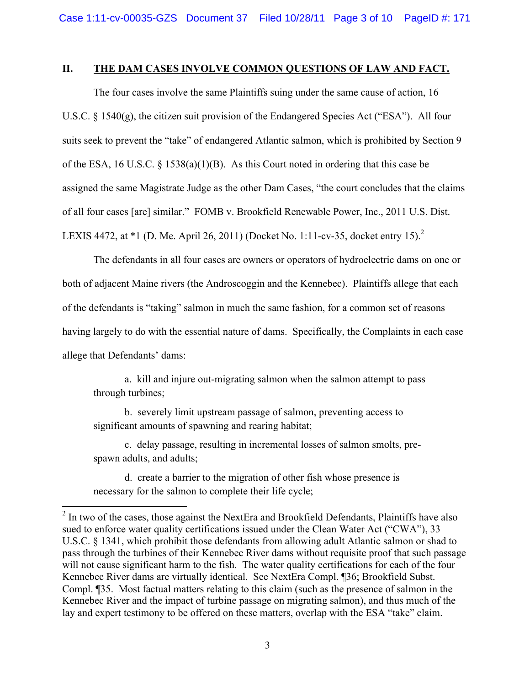#### **II. THE DAM CASES INVOLVE COMMON QUESTIONS OF LAW AND FACT.**

The four cases involve the same Plaintiffs suing under the same cause of action, 16 U.S.C. § 1540(g), the citizen suit provision of the Endangered Species Act ("ESA"). All four suits seek to prevent the "take" of endangered Atlantic salmon, which is prohibited by Section 9 of the ESA, 16 U.S.C. § 1538(a)(1)(B). As this Court noted in ordering that this case be assigned the same Magistrate Judge as the other Dam Cases, "the court concludes that the claims of all four cases [are] similar." FOMB v. Brookfield Renewable Power, Inc., 2011 U.S. Dist. LEXIS 4472, at \*1 (D. Me. April 26, 2011) (Docket No. 1:11-cv-35, docket entry 15).<sup>2</sup>

The defendants in all four cases are owners or operators of hydroelectric dams on one or both of adjacent Maine rivers (the Androscoggin and the Kennebec). Plaintiffs allege that each of the defendants is "taking" salmon in much the same fashion, for a common set of reasons having largely to do with the essential nature of dams. Specifically, the Complaints in each case allege that Defendants' dams:

a. kill and injure out-migrating salmon when the salmon attempt to pass through turbines;

b. severely limit upstream passage of salmon, preventing access to significant amounts of spawning and rearing habitat;

c. delay passage, resulting in incremental losses of salmon smolts, prespawn adults, and adults;

d. create a barrier to the migration of other fish whose presence is necessary for the salmon to complete their life cycle;

<sup>&</sup>lt;sup>2</sup> In two of the cases, those against the NextEra and Brookfield Defendants, Plaintiffs have also sued to enforce water quality certifications issued under the Clean Water Act ("CWA"), 33 U.S.C. § 1341, which prohibit those defendants from allowing adult Atlantic salmon or shad to pass through the turbines of their Kennebec River dams without requisite proof that such passage will not cause significant harm to the fish. The water quality certifications for each of the four Kennebec River dams are virtually identical. See NextEra Compl. ¶36; Brookfield Subst. Compl. ¶35. Most factual matters relating to this claim (such as the presence of salmon in the Kennebec River and the impact of turbine passage on migrating salmon), and thus much of the lay and expert testimony to be offered on these matters, overlap with the ESA "take" claim.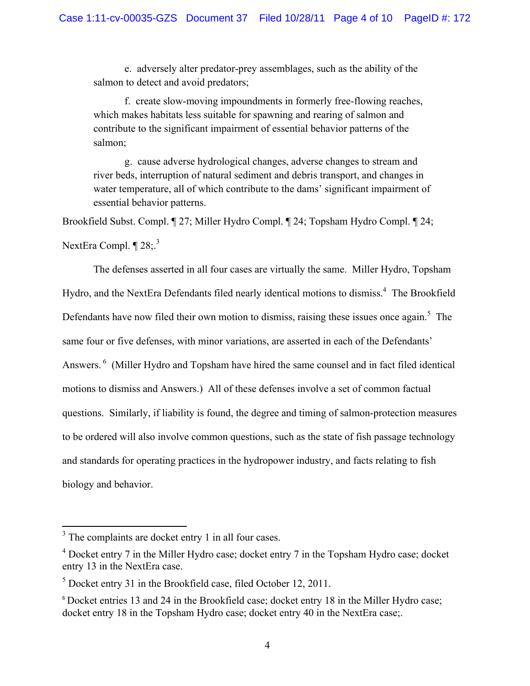e. adversely alter predator-prey assemblages, such as the ability of the salmon to detect and avoid predators:

f. create slow-moving impoundments in formerly free-flowing reaches, which makes habitats less suitable for spawning and rearing of salmon and contribute to the significant impairment of essential behavior patterns of the salmon;

g. cause adverse hydrological changes, adverse changes to stream and river beds, interruption of natural sediment and debris transport, and changes in water temperature, all of which contribute to the dams' significant impairment of essential behavior patterns.

Brookfield Subst. Compl. ¶ 27; Miller Hydro Compl. ¶ 24; Topsham Hydro Compl. ¶ 24;

NextEra Compl.  $\P$  28;<sup>3</sup>

The defenses asserted in all four cases are virtually the same. Miller Hydro, Topsham Hydro, and the NextEra Defendants filed nearly identical motions to dismiss.<sup>4</sup> The Brookfield Defendants have now filed their own motion to dismiss, raising these issues once again.<sup>5</sup> The same four or five defenses, with minor variations, are asserted in each of the Defendants' Answers.<sup>6</sup> (Miller Hydro and Topsham have hired the same counsel and in fact filed identical motions to dismiss and Answers.) All of these defenses involve a set of common factual questions. Similarly, if liability is found, the degree and timing of salmon-protection measures to be ordered will also involve common questions, such as the state of fish passage technology and standards for operating practices in the hydropower industry, and facts relating to fish biology and behavior.

 $3$  The complaints are docket entry 1 in all four cases.

<sup>4</sup> Docket entry 7 in the Miller Hydro case; docket entry 7 in the Topsham Hydro case; docket entry 13 in the NextEra case.

 $<sup>5</sup>$  Docket entry 31 in the Brookfield case, filed October 12, 2011.</sup>

<sup>6</sup> Docket entries 13 and 24 in the Brookfield case; docket entry 18 in the Miller Hydro case; docket entry 18 in the Topsham Hydro case; docket entry 40 in the NextEra case;.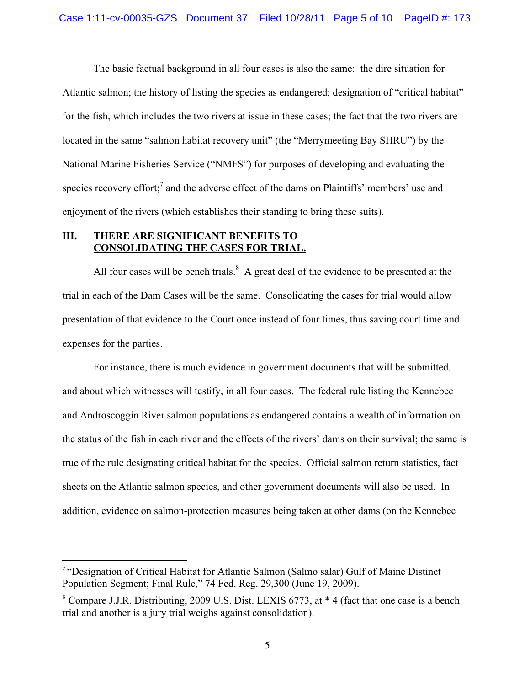The basic factual background in all four cases is also the same: the dire situation for Atlantic salmon; the history of listing the species as endangered; designation of "critical habitat" for the fish, which includes the two rivers at issue in these cases; the fact that the two rivers are located in the same "salmon habitat recovery unit" (the "Merrymeeting Bay SHRU") by the National Marine Fisheries Service ("NMFS") for purposes of developing and evaluating the species recovery effort;<sup>7</sup> and the adverse effect of the dams on Plaintiffs' members' use and enjoyment of the rivers (which establishes their standing to bring these suits).

# **III. THERE ARE SIGNIFICANT BENEFITS TO CONSOLIDATING THE CASES FOR TRIAL.**

All four cases will be bench trials. $8 \text{ A}$  great deal of the evidence to be presented at the trial in each of the Dam Cases will be the same. Consolidating the cases for trial would allow presentation of that evidence to the Court once instead of four times, thus saving court time and expenses for the parties.

For instance, there is much evidence in government documents that will be submitted, and about which witnesses will testify, in all four cases. The federal rule listing the Kennebec and Androscoggin River salmon populations as endangered contains a wealth of information on the status of the fish in each river and the effects of the rivers' dams on their survival; the same is true of the rule designating critical habitat for the species. Official salmon return statistics, fact sheets on the Atlantic salmon species, and other government documents will also be used. In addition, evidence on salmon-protection measures being taken at other dams (on the Kennebec

<sup>7</sup> "Designation of Critical Habitat for Atlantic Salmon (Salmo salar) Gulf of Maine Distinct Population Segment; Final Rule," 74 Fed. Reg. 29,300 (June 19, 2009).

 $8$  Compare J.J.R. Distributing, 2009 U.S. Dist. LEXIS 6773, at  $*$  4 (fact that one case is a bench trial and another is a jury trial weighs against consolidation).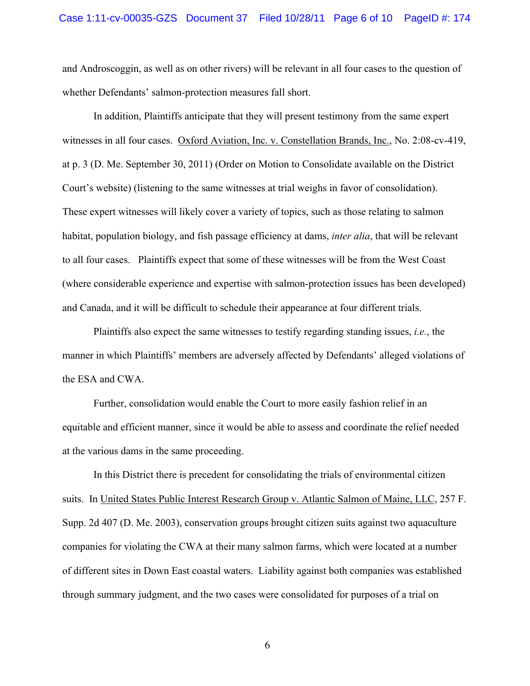and Androscoggin, as well as on other rivers) will be relevant in all four cases to the question of whether Defendants' salmon-protection measures fall short.

In addition, Plaintiffs anticipate that they will present testimony from the same expert witnesses in all four cases. Oxford Aviation, Inc. v. Constellation Brands, Inc., No. 2:08-cv-419, at p. 3 (D. Me. September 30, 2011) (Order on Motion to Consolidate available on the District Court's website) (listening to the same witnesses at trial weighs in favor of consolidation). These expert witnesses will likely cover a variety of topics, such as those relating to salmon habitat, population biology, and fish passage efficiency at dams, *inter alia*, that will be relevant to all four cases. Plaintiffs expect that some of these witnesses will be from the West Coast (where considerable experience and expertise with salmon-protection issues has been developed) and Canada, and it will be difficult to schedule their appearance at four different trials.

Plaintiffs also expect the same witnesses to testify regarding standing issues, *i.e.*, the manner in which Plaintiffs' members are adversely affected by Defendants' alleged violations of the ESA and CWA.

Further, consolidation would enable the Court to more easily fashion relief in an equitable and efficient manner, since it would be able to assess and coordinate the relief needed at the various dams in the same proceeding.

In this District there is precedent for consolidating the trials of environmental citizen suits. In United States Public Interest Research Group v. Atlantic Salmon of Maine, LLC, 257 F. Supp. 2d 407 (D. Me. 2003), conservation groups brought citizen suits against two aquaculture companies for violating the CWA at their many salmon farms, which were located at a number of different sites in Down East coastal waters. Liability against both companies was established through summary judgment, and the two cases were consolidated for purposes of a trial on

6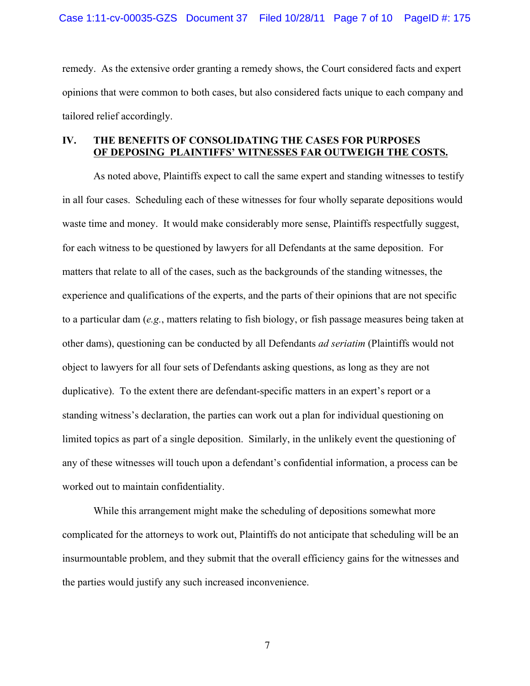remedy. As the extensive order granting a remedy shows, the Court considered facts and expert opinions that were common to both cases, but also considered facts unique to each company and tailored relief accordingly.

#### **IV. THE BENEFITS OF CONSOLIDATING THE CASES FOR PURPOSES OF DEPOSING PLAINTIFFS' WITNESSES FAR OUTWEIGH THE COSTS.**

As noted above, Plaintiffs expect to call the same expert and standing witnesses to testify in all four cases. Scheduling each of these witnesses for four wholly separate depositions would waste time and money. It would make considerably more sense, Plaintiffs respectfully suggest, for each witness to be questioned by lawyers for all Defendants at the same deposition. For matters that relate to all of the cases, such as the backgrounds of the standing witnesses, the experience and qualifications of the experts, and the parts of their opinions that are not specific to a particular dam (*e.g.*, matters relating to fish biology, or fish passage measures being taken at other dams), questioning can be conducted by all Defendants *ad seriatim* (Plaintiffs would not object to lawyers for all four sets of Defendants asking questions, as long as they are not duplicative). To the extent there are defendant-specific matters in an expert's report or a standing witness's declaration, the parties can work out a plan for individual questioning on limited topics as part of a single deposition. Similarly, in the unlikely event the questioning of any of these witnesses will touch upon a defendant's confidential information, a process can be worked out to maintain confidentiality.

While this arrangement might make the scheduling of depositions somewhat more complicated for the attorneys to work out, Plaintiffs do not anticipate that scheduling will be an insurmountable problem, and they submit that the overall efficiency gains for the witnesses and the parties would justify any such increased inconvenience.

7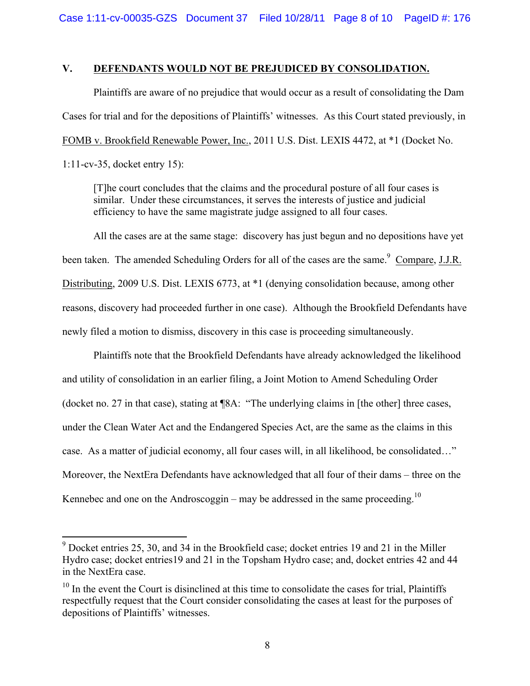Case 1:11-cv-00035-GZS Document 37 Filed 10/28/11 Page 8 of 10 PageID #: 176

#### **V. DEFENDANTS WOULD NOT BE PREJUDICED BY CONSOLIDATION.**

Plaintiffs are aware of no prejudice that would occur as a result of consolidating the Dam Cases for trial and for the depositions of Plaintiffs' witnesses. As this Court stated previously, in FOMB v. Brookfield Renewable Power, Inc., 2011 U.S. Dist. LEXIS 4472, at \*1 (Docket No. 1:11-cv-35, docket entry 15):

[T]he court concludes that the claims and the procedural posture of all four cases is similar. Under these circumstances, it serves the interests of justice and judicial efficiency to have the same magistrate judge assigned to all four cases.

All the cases are at the same stage: discovery has just begun and no depositions have yet been taken. The amended Scheduling Orders for all of the cases are the same.<sup>9</sup> Compare, J.J.R. Distributing, 2009 U.S. Dist. LEXIS 6773, at \*1 (denying consolidation because, among other reasons, discovery had proceeded further in one case). Although the Brookfield Defendants have newly filed a motion to dismiss, discovery in this case is proceeding simultaneously.

Plaintiffs note that the Brookfield Defendants have already acknowledged the likelihood and utility of consolidation in an earlier filing, a Joint Motion to Amend Scheduling Order (docket no. 27 in that case), stating at ¶8A: "The underlying claims in [the other] three cases, under the Clean Water Act and the Endangered Species Act, are the same as the claims in this case. As a matter of judicial economy, all four cases will, in all likelihood, be consolidated…" Moreover, the NextEra Defendants have acknowledged that all four of their dams – three on the Kennebec and one on the Androscoggin – may be addressed in the same proceeding.<sup>10</sup>

 $9$  Docket entries 25, 30, and 34 in the Brookfield case; docket entries 19 and 21 in the Miller Hydro case; docket entries19 and 21 in the Topsham Hydro case; and, docket entries 42 and 44 in the NextEra case.

 $10$  In the event the Court is disinclined at this time to consolidate the cases for trial, Plaintiffs respectfully request that the Court consider consolidating the cases at least for the purposes of depositions of Plaintiffs' witnesses.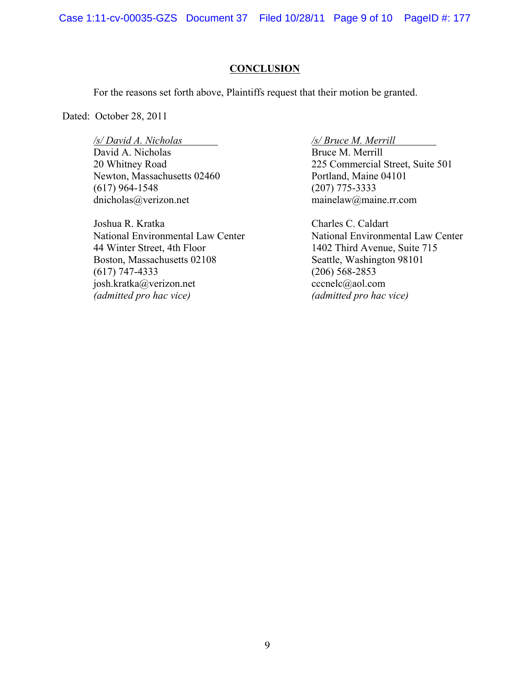Case 1:11-cv-00035-GZS Document 37 Filed 10/28/11 Page 9 of 10 PageID #: 177

#### **CONCLUSION**

For the reasons set forth above, Plaintiffs request that their motion be granted.

Dated: October 28, 2011

*/s/ David A. Nicholas /s/ Bruce M. Merrill* David A. Nicholas Bruce M. Merrill Newton, Massachusetts 02460 Portland, Maine 04101 (617) 964-1548 (207) 775-3333 dnicholas@verizon.net mainelaw@maine.rr.com

Joshua R. Kratka Charles C. Caldart 44 Winter Street, 4th Floor 1402 Third Avenue, Suite 715 Boston, Massachusetts 02108 Seattle, Washington 98101 (617) 747-4333 (206) 568-2853 josh.kratka@verizon.net cccnelc@aol.com *(admitted pro hac vice) (admitted pro hac vice)*

20 Whitney Road 225 Commercial Street, Suite 501

National Environmental Law Center National Environmental Law Center